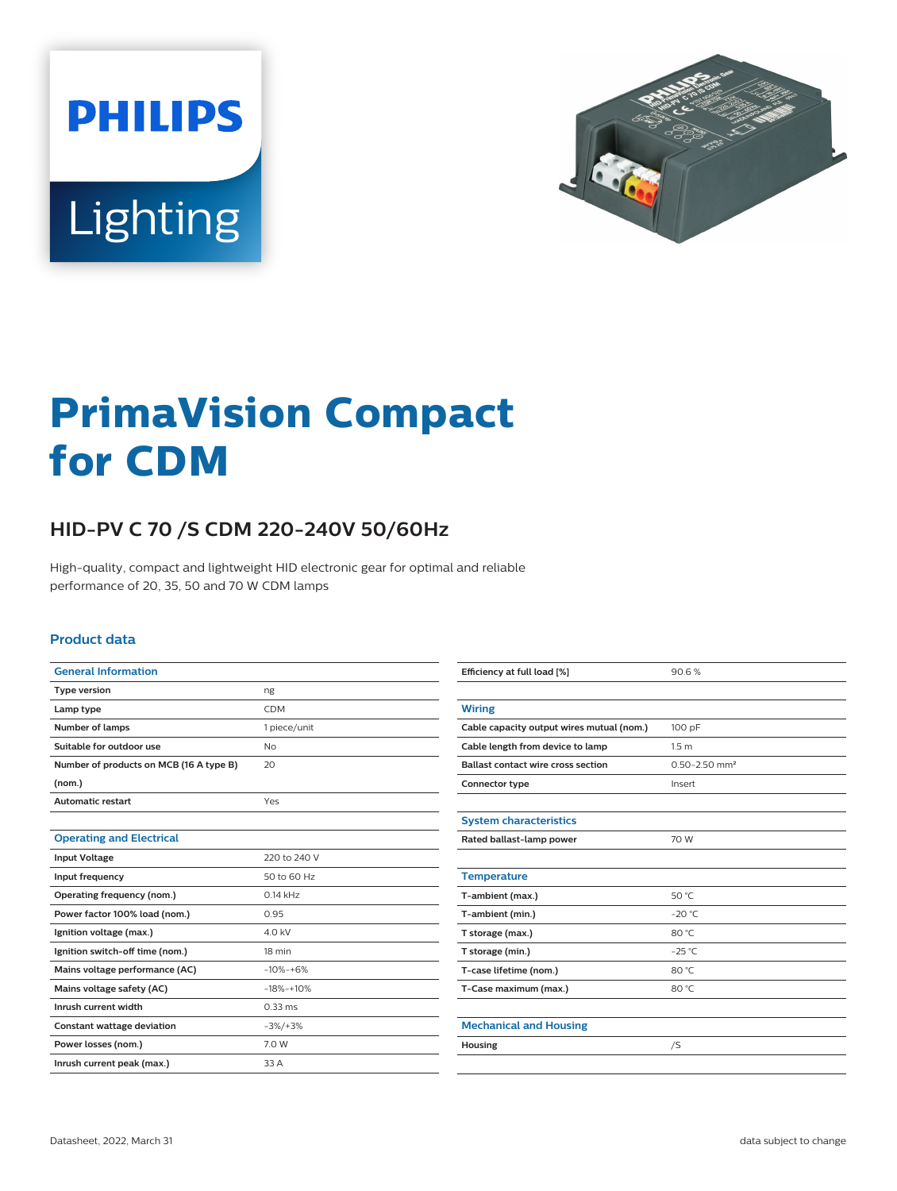



# **PrimaVision Compact for CDM**

## **HID-PV C 70 /S CDM 220-240V 50/60Hz**

High-quality, compact and lightweight HID electronic gear for optimal and reliable performance of 20, 35, 50 and 70 W CDM lamps

#### **Product data**

| <b>General Information</b>              |              |  |  |
|-----------------------------------------|--------------|--|--|
| <b>Type version</b>                     | ng           |  |  |
| Lamp type                               | <b>CDM</b>   |  |  |
| <b>Number of lamps</b>                  | 1 piece/unit |  |  |
| Suitable for outdoor use                | Nο           |  |  |
| Number of products on MCB (16 A type B) | 20           |  |  |
| (nom.)                                  |              |  |  |
| <b>Automatic restart</b>                | Yes          |  |  |
|                                         |              |  |  |
| <b>Operating and Electrical</b>         |              |  |  |
| <b>Input Voltage</b>                    | 220 to 240 V |  |  |
| Input frequency                         | 50 to 60 Hz  |  |  |
| Operating frequency (nom.)              | $0.14$ kHz   |  |  |
| Power factor 100% load (nom.)           | 0.95         |  |  |
| Ignition voltage (max.)                 | 4.0 kV       |  |  |
| Ignition switch-off time (nom.)         | 18 min       |  |  |
| Mains voltage performance (AC)          | $-10% - +6%$ |  |  |
| Mains voltage safety (AC)               | $-18% + 10%$ |  |  |
| Inrush current width                    | $0.33$ ms    |  |  |
| Constant wattage deviation              | $-3\%/+3\%$  |  |  |
| Power losses (nom.)                     | 7.0 W        |  |  |
| Inrush current peak (max.)              | 33 A         |  |  |

| Efficiency at full load [%]               | 90.6%                         |  |  |  |
|-------------------------------------------|-------------------------------|--|--|--|
|                                           |                               |  |  |  |
| <b>Wiring</b>                             |                               |  |  |  |
| Cable capacity output wires mutual (nom.) | 100 pF                        |  |  |  |
| Cable length from device to lamp          | 1.5 <sub>m</sub>              |  |  |  |
| <b>Ballast contact wire cross section</b> | $0.50 - 2.50$ mm <sup>2</sup> |  |  |  |
| Connector type                            | Insert                        |  |  |  |
|                                           |                               |  |  |  |
| <b>System characteristics</b>             |                               |  |  |  |
| Rated ballast-lamp power                  | 70 W                          |  |  |  |
|                                           |                               |  |  |  |
| <b>Temperature</b>                        |                               |  |  |  |
| T-ambient (max.)                          | 50 °C                         |  |  |  |
| T-ambient (min.)                          | $-20$ °C                      |  |  |  |
| T storage (max.)                          | 80 °C                         |  |  |  |
| T storage (min.)                          | $-25$ °C                      |  |  |  |
| T-case lifetime (nom.)                    | 80 °C                         |  |  |  |
| T-Case maximum (max.)                     | 80 °C                         |  |  |  |
|                                           |                               |  |  |  |
| <b>Mechanical and Housing</b>             |                               |  |  |  |
| Housing                                   | /S                            |  |  |  |
|                                           |                               |  |  |  |